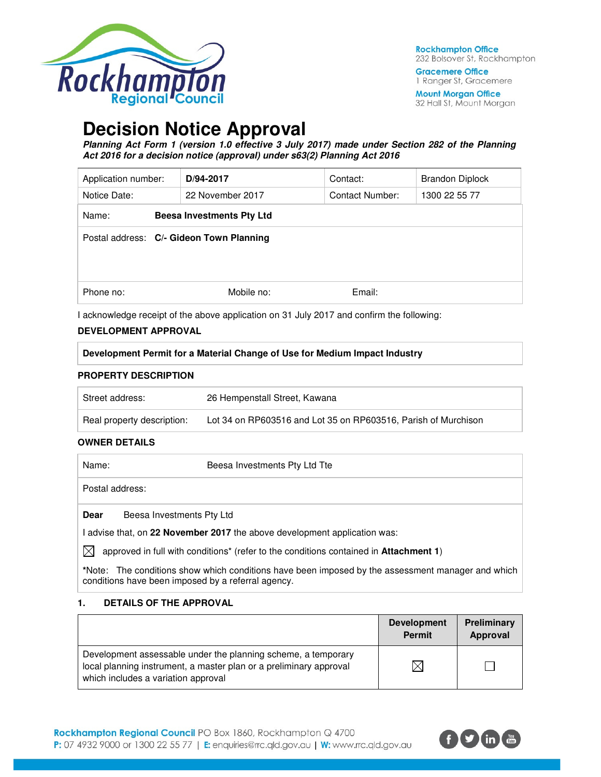

**Gracemere Office** 1 Ranger St, Gracemere

**Mount Morgan Office** 32 Hall St, Mount Morgan

# **Decision Notice Approval**

**Planning Act Form 1 (version 1.0 effective 3 July 2017) made under Section 282 of the Planning Act 2016 for a decision notice (approval) under s63(2) Planning Act 2016** 

| Application number:                      | D/94-2017                        | Contact:        | <b>Brandon Diplock</b> |
|------------------------------------------|----------------------------------|-----------------|------------------------|
| Notice Date:                             | 22 November 2017                 | Contact Number: | 1300 22 55 77          |
| Name:                                    | <b>Beesa Investments Pty Ltd</b> |                 |                        |
| Postal address: C/- Gideon Town Planning |                                  |                 |                        |
| Phone no:                                | Mobile no:                       | Email:          |                        |

I acknowledge receipt of the above application on 31 July 2017 and confirm the following:

### **DEVELOPMENT APPROVAL**

**Development Permit for a Material Change of Use for Medium Impact Industry** 

#### **PROPERTY DESCRIPTION**

| Street address:            | 26 Hempenstall Street, Kawana                                  |
|----------------------------|----------------------------------------------------------------|
| Real property description: | Lot 34 on RP603516 and Lot 35 on RP603516, Parish of Murchison |

#### **OWNER DETAILS**

| Name:           | Beesa Investments Pty Ltd Tte                                                         |
|-----------------|---------------------------------------------------------------------------------------|
| Postal address: |                                                                                       |
| <b>Dear</b>     | Beesa Investments Pty Ltd                                                             |
|                 | advise that, on 22 November 2017 the above development application was:               |
| $\mathbb{X}$    | approved in full with conditions* (refer to the conditions contained in Attachment 1) |

**\***Note:The conditions show which conditions have been imposed by the assessment manager and which conditions have been imposed by a referral agency.

#### **1. DETAILS OF THE APPROVAL**

|                                                                                                                                                                            | <b>Development</b><br><b>Permit</b> | Preliminary<br>Approval |
|----------------------------------------------------------------------------------------------------------------------------------------------------------------------------|-------------------------------------|-------------------------|
| Development assessable under the planning scheme, a temporary<br>local planning instrument, a master plan or a preliminary approval<br>which includes a variation approval |                                     |                         |

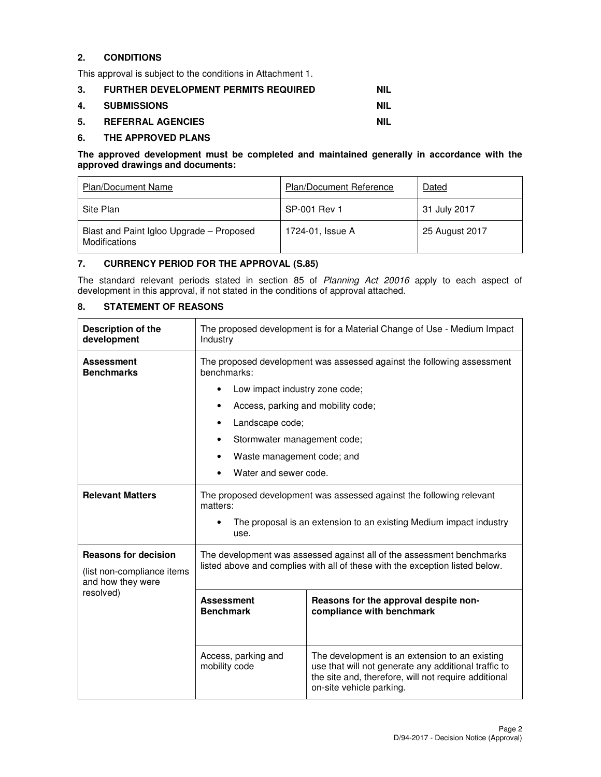# **2. CONDITIONS**

This approval is subject to the conditions in Attachment 1.

| 3. | <b>FURTHER DEVELOPMENT PERMITS REQUIRED</b> | <b>NIL</b> |
|----|---------------------------------------------|------------|
|    | 4. SUBMISSIONS                              | NIL        |
| 5. | <b>REFERRAL AGENCIES</b>                    | NIL        |

#### **6. THE APPROVED PLANS**

#### **The approved development must be completed and maintained generally in accordance with the approved drawings and documents:**

| <b>Plan/Document Name</b>                                        | <b>Plan/Document Reference</b> | Dated          |
|------------------------------------------------------------------|--------------------------------|----------------|
| Site Plan                                                        | SP-001 Rev 1                   | 31 July 2017   |
| Blast and Paint Igloo Upgrade - Proposed<br><b>Modifications</b> | 1724-01, Issue A               | 25 August 2017 |

### **7. CURRENCY PERIOD FOR THE APPROVAL (S.85)**

The standard relevant periods stated in section 85 of Planning Act 20016 apply to each aspect of development in this approval, if not stated in the conditions of approval attached.

# **8. STATEMENT OF REASONS**

| <b>Description of the</b><br>development                                       | The proposed development is for a Material Change of Use - Medium Impact<br>Industry                                                                  |                                                                                                                                                                                            |  |
|--------------------------------------------------------------------------------|-------------------------------------------------------------------------------------------------------------------------------------------------------|--------------------------------------------------------------------------------------------------------------------------------------------------------------------------------------------|--|
| <b>Assessment</b><br><b>Benchmarks</b>                                         | The proposed development was assessed against the following assessment<br>benchmarks:                                                                 |                                                                                                                                                                                            |  |
|                                                                                | Low impact industry zone code;<br>$\bullet$                                                                                                           |                                                                                                                                                                                            |  |
|                                                                                | Access, parking and mobility code;                                                                                                                    |                                                                                                                                                                                            |  |
|                                                                                | Landscape code;                                                                                                                                       |                                                                                                                                                                                            |  |
|                                                                                | Stormwater management code;                                                                                                                           |                                                                                                                                                                                            |  |
|                                                                                | Waste management code; and<br>٠                                                                                                                       |                                                                                                                                                                                            |  |
|                                                                                | Water and sewer code.                                                                                                                                 |                                                                                                                                                                                            |  |
| <b>Relevant Matters</b>                                                        | The proposed development was assessed against the following relevant<br>matters:                                                                      |                                                                                                                                                                                            |  |
|                                                                                | The proposal is an extension to an existing Medium impact industry<br>use.                                                                            |                                                                                                                                                                                            |  |
| <b>Reasons for decision</b><br>(list non-compliance items<br>and how they were | The development was assessed against all of the assessment benchmarks<br>listed above and complies with all of these with the exception listed below. |                                                                                                                                                                                            |  |
| resolved)                                                                      | <b>Assessment</b><br>Reasons for the approval despite non-<br><b>Benchmark</b><br>compliance with benchmark                                           |                                                                                                                                                                                            |  |
|                                                                                | Access, parking and<br>mobility code                                                                                                                  | The development is an extension to an existing<br>use that will not generate any additional traffic to<br>the site and, therefore, will not require additional<br>on-site vehicle parking. |  |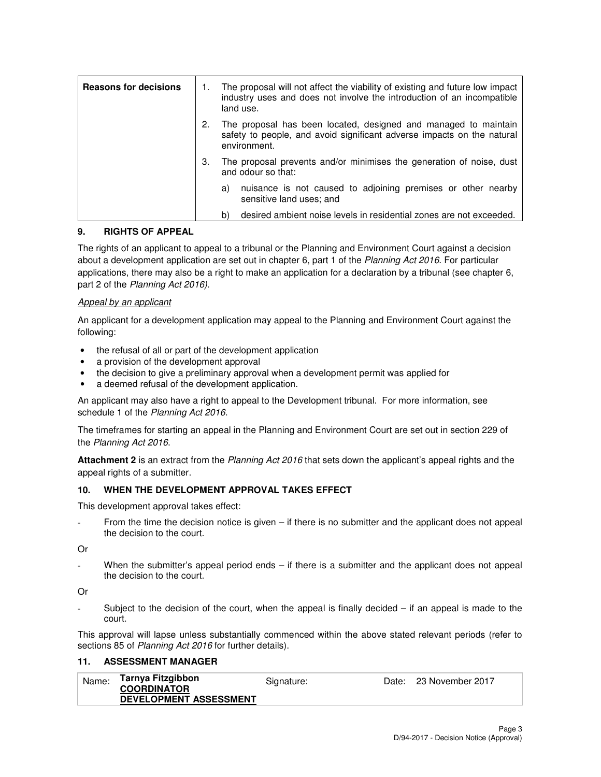| <b>Reasons for decisions</b> | 1. | The proposal will not affect the viability of existing and future low impact<br>industry uses and does not involve the introduction of an incompatible<br>land use. |
|------------------------------|----|---------------------------------------------------------------------------------------------------------------------------------------------------------------------|
|                              | 2. | The proposal has been located, designed and managed to maintain<br>safety to people, and avoid significant adverse impacts on the natural<br>environment.           |
|                              | З. | The proposal prevents and/or minimises the generation of noise, dust<br>and odour so that:                                                                          |
|                              |    | nuisance is not caused to adjoining premises or other nearby<br>a)<br>sensitive land uses; and                                                                      |
|                              |    | desired ambient noise levels in residential zones are not exceeded.<br>b)                                                                                           |

### **9. RIGHTS OF APPEAL**

The rights of an applicant to appeal to a tribunal or the Planning and Environment Court against a decision about a development application are set out in chapter 6, part 1 of the Planning Act 2016. For particular applications, there may also be a right to make an application for a declaration by a tribunal (see chapter 6, part 2 of the Planning Act 2016).

#### Appeal by an applicant

An applicant for a development application may appeal to the Planning and Environment Court against the following:

- the refusal of all or part of the development application
- a provision of the development approval
- the decision to give a preliminary approval when a development permit was applied for
- a deemed refusal of the development application.

An applicant may also have a right to appeal to the Development tribunal. For more information, see schedule 1 of the Planning Act 2016.

The timeframes for starting an appeal in the Planning and Environment Court are set out in section 229 of the Planning Act 2016.

**Attachment 2** is an extract from the Planning Act 2016 that sets down the applicant's appeal rights and the appeal rights of a submitter.

#### **10. WHEN THE DEVELOPMENT APPROVAL TAKES EFFECT**

This development approval takes effect:

From the time the decision notice is given – if there is no submitter and the applicant does not appeal the decision to the court.

Or

When the submitter's appeal period ends – if there is a submitter and the applicant does not appeal the decision to the court.

Or

Subject to the decision of the court, when the appeal is finally decided  $-$  if an appeal is made to the court.

This approval will lapse unless substantially commenced within the above stated relevant periods (refer to sections 85 of Planning Act 2016 for further details).

#### **11. ASSESSMENT MANAGER**

| Name: | Tarnya Fitzgibbon             | Signature: | Date: 23 November 2017 |
|-------|-------------------------------|------------|------------------------|
|       | <b>COORDINATOR</b>            |            |                        |
|       | <b>DEVELOPMENT ASSESSMENT</b> |            |                        |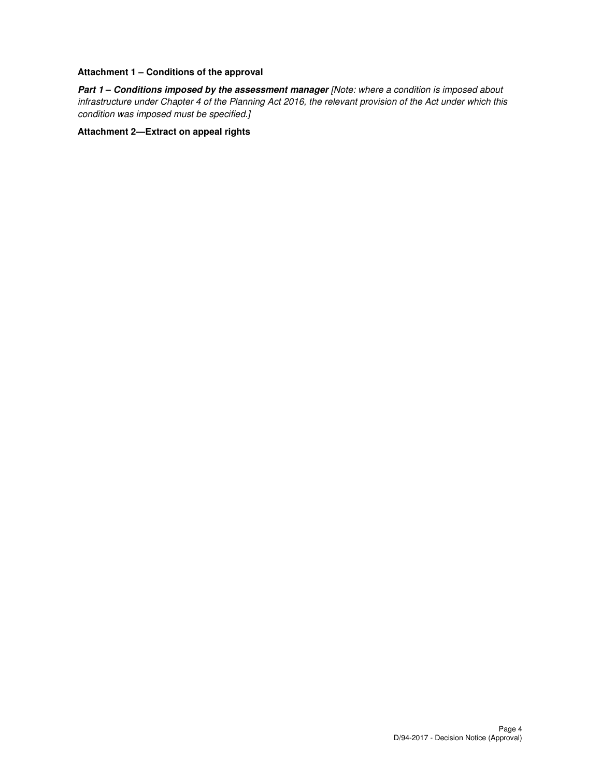### **Attachment 1 – Conditions of the approval**

Part 1 - Conditions imposed by the assessment manager [Note: where a condition is imposed about infrastructure under Chapter 4 of the Planning Act 2016, the relevant provision of the Act under which this condition was imposed must be specified.]

### **Attachment 2—Extract on appeal rights**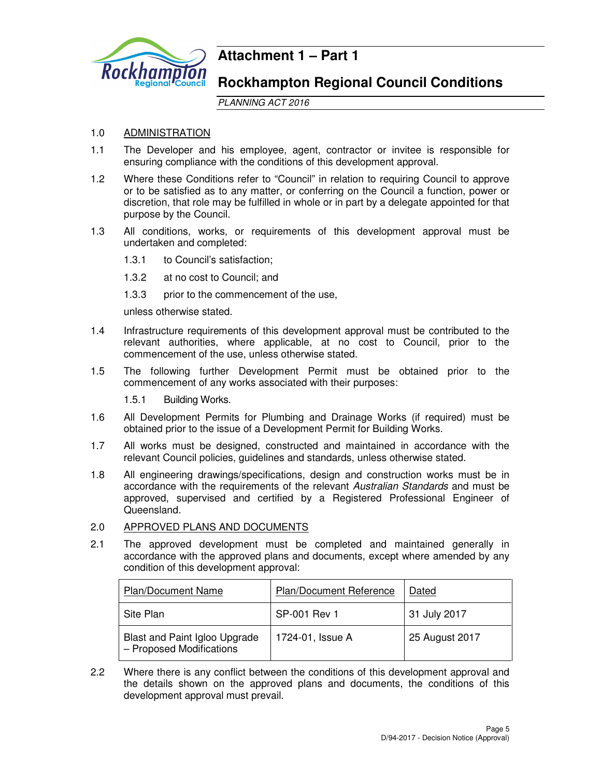

# **Attachment 1 – Part 1**

# **Rockhampton Regional Council Conditions**

PLANNING ACT 2016

# 1.0 ADMINISTRATION

- 1.1 The Developer and his employee, agent, contractor or invitee is responsible for ensuring compliance with the conditions of this development approval.
- 1.2 Where these Conditions refer to "Council" in relation to requiring Council to approve or to be satisfied as to any matter, or conferring on the Council a function, power or discretion, that role may be fulfilled in whole or in part by a delegate appointed for that purpose by the Council.
- 1.3 All conditions, works, or requirements of this development approval must be undertaken and completed:
	- 1.3.1 to Council's satisfaction;
	- 1.3.2 at no cost to Council; and
	- 1.3.3 prior to the commencement of the use,

unless otherwise stated.

- 1.4 Infrastructure requirements of this development approval must be contributed to the relevant authorities, where applicable, at no cost to Council, prior to the commencement of the use, unless otherwise stated.
- 1.5 The following further Development Permit must be obtained prior to the commencement of any works associated with their purposes:

1.5.1 Building Works.

- 1.6 All Development Permits for Plumbing and Drainage Works (if required) must be obtained prior to the issue of a Development Permit for Building Works.
- 1.7 All works must be designed, constructed and maintained in accordance with the relevant Council policies, guidelines and standards, unless otherwise stated.
- 1.8 All engineering drawings/specifications, design and construction works must be in accordance with the requirements of the relevant Australian Standards and must be approved, supervised and certified by a Registered Professional Engineer of Queensland.

#### 2.0 APPROVED PLANS AND DOCUMENTS

2.1 The approved development must be completed and maintained generally in accordance with the approved plans and documents, except where amended by any condition of this development approval:

| <b>Plan/Document Name</b>                                 | Plan/Document Reference | Dated          |
|-----------------------------------------------------------|-------------------------|----------------|
| Site Plan                                                 | SP-001 Rev 1            | 31 July 2017   |
| Blast and Paint Igloo Upgrade<br>- Proposed Modifications | 1724-01, Issue A        | 25 August 2017 |

2.2 Where there is any conflict between the conditions of this development approval and the details shown on the approved plans and documents, the conditions of this development approval must prevail.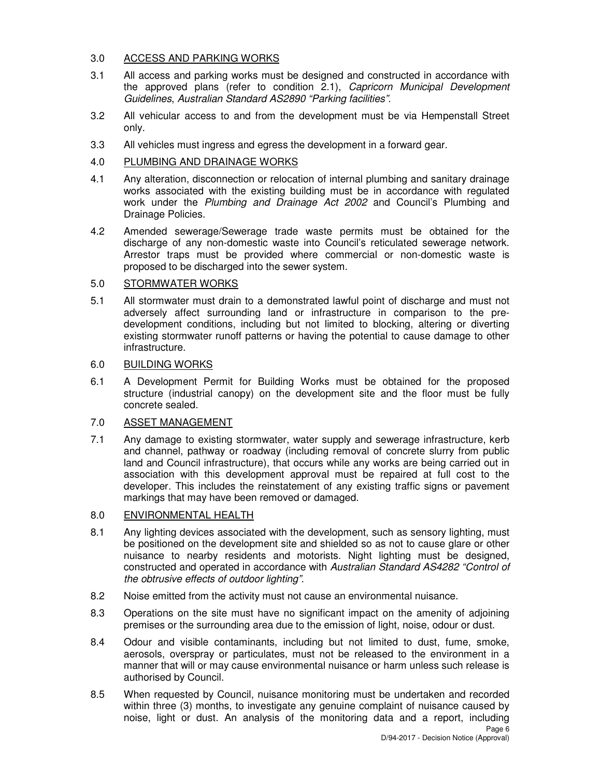# 3.0 ACCESS AND PARKING WORKS

- 3.1 All access and parking works must be designed and constructed in accordance with the approved plans (refer to condition 2.1), Capricorn Municipal Development Guidelines, Australian Standard AS2890 "Parking facilities".
- 3.2 All vehicular access to and from the development must be via Hempenstall Street only.
- 3.3 All vehicles must ingress and egress the development in a forward gear.
- 4.0 PLUMBING AND DRAINAGE WORKS
- 4.1 Any alteration, disconnection or relocation of internal plumbing and sanitary drainage works associated with the existing building must be in accordance with regulated work under the Plumbing and Drainage Act 2002 and Council's Plumbing and Drainage Policies.
- 4.2 Amended sewerage/Sewerage trade waste permits must be obtained for the discharge of any non-domestic waste into Council's reticulated sewerage network. Arrestor traps must be provided where commercial or non-domestic waste is proposed to be discharged into the sewer system.

### 5.0 STORMWATER WORKS

5.1 All stormwater must drain to a demonstrated lawful point of discharge and must not adversely affect surrounding land or infrastructure in comparison to the predevelopment conditions, including but not limited to blocking, altering or diverting existing stormwater runoff patterns or having the potential to cause damage to other infrastructure.

### 6.0 BUILDING WORKS

6.1 A Development Permit for Building Works must be obtained for the proposed structure (industrial canopy) on the development site and the floor must be fully concrete sealed.

#### 7.0 ASSET MANAGEMENT

7.1 Any damage to existing stormwater, water supply and sewerage infrastructure, kerb and channel, pathway or roadway (including removal of concrete slurry from public land and Council infrastructure), that occurs while any works are being carried out in association with this development approval must be repaired at full cost to the developer. This includes the reinstatement of any existing traffic signs or pavement markings that may have been removed or damaged.

# 8.0 ENVIRONMENTAL HEALTH

- 8.1 Any lighting devices associated with the development, such as sensory lighting, must be positioned on the development site and shielded so as not to cause glare or other nuisance to nearby residents and motorists. Night lighting must be designed, constructed and operated in accordance with Australian Standard AS4282 "Control of the obtrusive effects of outdoor lighting".
- 8.2 Noise emitted from the activity must not cause an environmental nuisance.
- 8.3 Operations on the site must have no significant impact on the amenity of adjoining premises or the surrounding area due to the emission of light, noise, odour or dust.
- 8.4 Odour and visible contaminants, including but not limited to dust, fume, smoke, aerosols, overspray or particulates, must not be released to the environment in a manner that will or may cause environmental nuisance or harm unless such release is authorised by Council.
- 8.5 When requested by Council, nuisance monitoring must be undertaken and recorded within three (3) months, to investigate any genuine complaint of nuisance caused by noise, light or dust. An analysis of the monitoring data and a report, including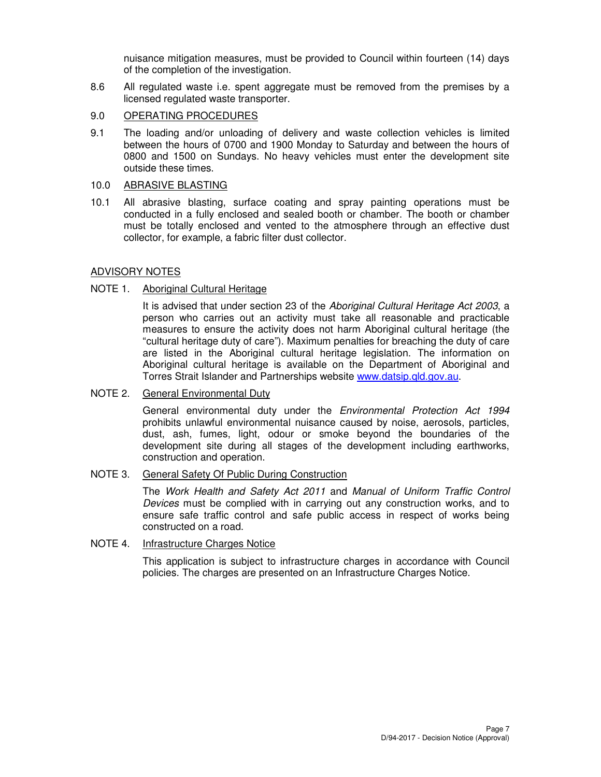nuisance mitigation measures, must be provided to Council within fourteen (14) days of the completion of the investigation.

- 8.6 All regulated waste i.e. spent aggregate must be removed from the premises by a licensed regulated waste transporter.
- 9.0 OPERATING PROCEDURES
- 9.1 The loading and/or unloading of delivery and waste collection vehicles is limited between the hours of 0700 and 1900 Monday to Saturday and between the hours of 0800 and 1500 on Sundays. No heavy vehicles must enter the development site outside these times.
- 10.0 ABRASIVE BLASTING
- 10.1 All abrasive blasting, surface coating and spray painting operations must be conducted in a fully enclosed and sealed booth or chamber. The booth or chamber must be totally enclosed and vented to the atmosphere through an effective dust collector, for example, a fabric filter dust collector.

# ADVISORY NOTES

### NOTE 1. Aboriginal Cultural Heritage

It is advised that under section 23 of the Aboriginal Cultural Heritage Act 2003, a person who carries out an activity must take all reasonable and practicable measures to ensure the activity does not harm Aboriginal cultural heritage (the "cultural heritage duty of care"). Maximum penalties for breaching the duty of care are listed in the Aboriginal cultural heritage legislation. The information on Aboriginal cultural heritage is available on the Department of Aboriginal and Torres Strait Islander and Partnerships website www.datsip.qld.gov.au.

#### NOTE 2. General Environmental Duty

General environmental duty under the Environmental Protection Act 1994 prohibits unlawful environmental nuisance caused by noise, aerosols, particles, dust, ash, fumes, light, odour or smoke beyond the boundaries of the development site during all stages of the development including earthworks, construction and operation.

# NOTE 3. General Safety Of Public During Construction

The Work Health and Safety Act 2011 and Manual of Uniform Traffic Control Devices must be complied with in carrying out any construction works, and to ensure safe traffic control and safe public access in respect of works being constructed on a road.

## NOTE 4. Infrastructure Charges Notice

This application is subject to infrastructure charges in accordance with Council policies. The charges are presented on an Infrastructure Charges Notice.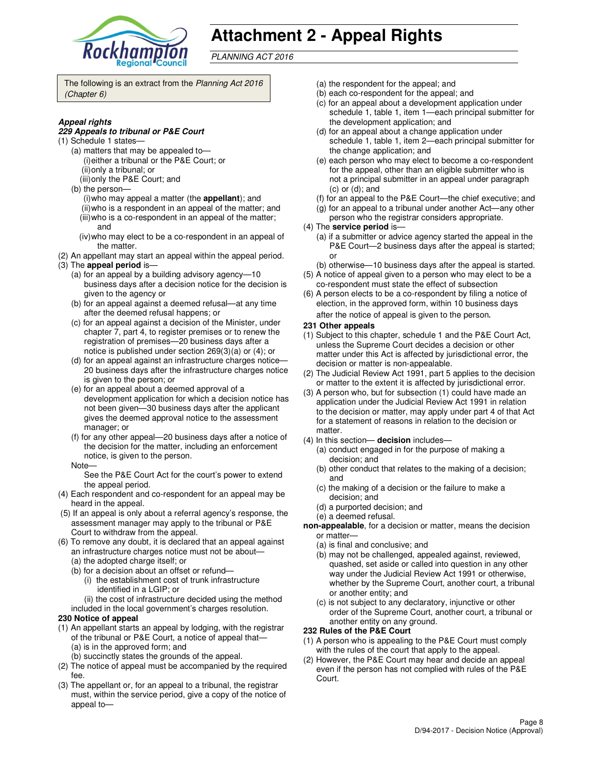

# **Attachment 2 - Appeal Rights**

PLANNING ACT 2016

The following is an extract from the Planning Act 2016 (Chapter 6)

#### **Appeal rights**

#### **229 Appeals to tribunal or P&E Court**

- (1) Schedule 1 states—
	- (a) matters that may be appealed to— (i) either a tribunal or the P&E Court; or (ii) only a tribunal; or
	- (iii) only the P&E Court; and
	- (b) the person—
		- (i) who may appeal a matter (the **appellant**); and (ii) who is a respondent in an appeal of the matter; and (iii) who is a co-respondent in an appeal of the matter;
		- and
	- (iv) who may elect to be a co-respondent in an appeal of the matter.
- (2) An appellant may start an appeal within the appeal period. (3) The **appeal period** is—
	- (a) for an appeal by a building advisory agency—10 business days after a decision notice for the decision is given to the agency or
	- (b) for an appeal against a deemed refusal—at any time after the deemed refusal happens; or
	- (c) for an appeal against a decision of the Minister, under chapter 7, part 4, to register premises or to renew the registration of premises—20 business days after a notice is published under section 269(3)(a) or (4); or
	- (d) for an appeal against an infrastructure charges notice— 20 business days after the infrastructure charges notice is given to the person; or
	- (e) for an appeal about a deemed approval of a development application for which a decision notice has not been given—30 business days after the applicant gives the deemed approval notice to the assessment manager; or
	- (f) for any other appeal—20 business days after a notice of the decision for the matter, including an enforcement notice, is given to the person.
	- Note—

See the P&E Court Act for the court's power to extend the appeal period.

- (4) Each respondent and co-respondent for an appeal may be heard in the appeal.
- (5) If an appeal is only about a referral agency's response, the assessment manager may apply to the tribunal or P&E Court to withdraw from the appeal.
- (6) To remove any doubt, it is declared that an appeal against an infrastructure charges notice must not be about—
	- (a) the adopted charge itself; or
	- (b) for a decision about an offset or refund—
		- (i) the establishment cost of trunk infrastructure identified in a LGIP; or
		- (ii) the cost of infrastructure decided using the method
	- included in the local government's charges resolution.
- **230 Notice of appeal**
- (1) An appellant starts an appeal by lodging, with the registrar of the tribunal or P&E Court, a notice of appeal that— (a) is in the approved form; and
	- (b) succinctly states the grounds of the appeal.
- (2) The notice of appeal must be accompanied by the required fee.
- (3) The appellant or, for an appeal to a tribunal, the registrar must, within the service period, give a copy of the notice of appeal to—
- (a) the respondent for the appeal; and
- (b) each co-respondent for the appeal; and
- (c) for an appeal about a development application under schedule 1, table 1, item 1—each principal submitter for the development application; and
- (d) for an appeal about a change application under schedule 1, table 1, item 2—each principal submitter for the change application; and
- (e) each person who may elect to become a co-respondent for the appeal, other than an eligible submitter who is not a principal submitter in an appeal under paragraph (c) or (d); and
- (f) for an appeal to the P&E Court—the chief executive; and
- (g) for an appeal to a tribunal under another Act—any other
- person who the registrar considers appropriate.
- (4) The **service period** is—
	- (a) if a submitter or advice agency started the appeal in the P&E Court—2 business days after the appeal is started; or
- (b) otherwise—10 business days after the appeal is started. (5) A notice of appeal given to a person who may elect to be a
- co-respondent must state the effect of subsection (6) A person elects to be a co-respondent by filing a notice of
- election, in the approved form, within 10 business days after the notice of appeal is given to the person*.*
- **231 Other appeals**
- (1) Subject to this chapter, schedule 1 and the P&E Court Act, unless the Supreme Court decides a decision or other matter under this Act is affected by jurisdictional error, the decision or matter is non-appealable.
- (2) The Judicial Review Act 1991, part 5 applies to the decision or matter to the extent it is affected by jurisdictional error.
- (3) A person who, but for subsection (1) could have made an application under the Judicial Review Act 1991 in relation to the decision or matter, may apply under part 4 of that Act for a statement of reasons in relation to the decision or matter.
- (4) In this section— **decision** includes—
	- (a) conduct engaged in for the purpose of making a decision; and
	- (b) other conduct that relates to the making of a decision; and
	- (c) the making of a decision or the failure to make a decision; and
	- (d) a purported decision; and
	- (e) a deemed refusal.
- **non-appealable**, for a decision or matter, means the decision or matter—
	- (a) is final and conclusive; and
	- (b) may not be challenged, appealed against, reviewed, quashed, set aside or called into question in any other way under the Judicial Review Act 1991 or otherwise, whether by the Supreme Court, another court, a tribunal or another entity; and
	- (c) is not subject to any declaratory, injunctive or other order of the Supreme Court, another court, a tribunal or another entity on any ground.

#### **232 Rules of the P&E Court**

- (1) A person who is appealing to the P&E Court must comply with the rules of the court that apply to the appeal.
- (2) However, the P&E Court may hear and decide an appeal even if the person has not complied with rules of the P&E Court.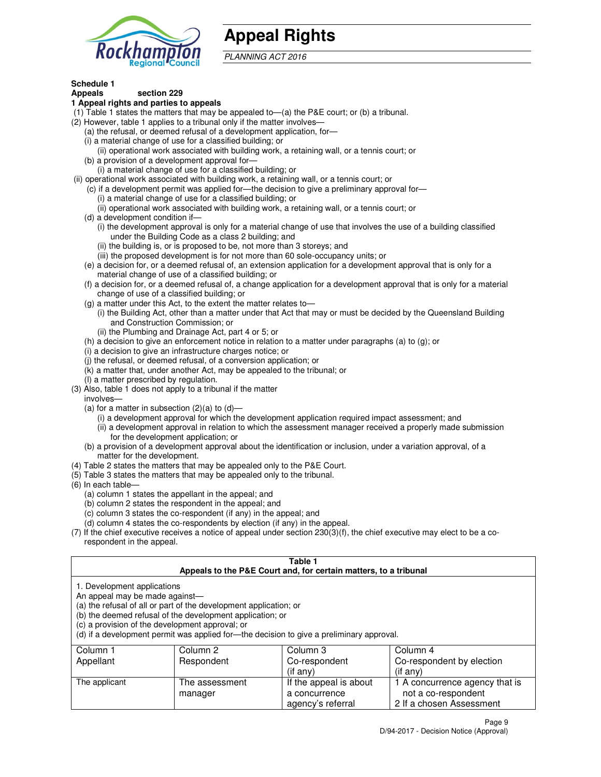

# **Appeal Rights**

PLANNING ACT 2016

#### **Schedule 1 Appeals section 229**

# **1 Appeal rights and parties to appeals**

- (1) Table 1 states the matters that may be appealed to—(a) the P&E court; or (b) a tribunal.
- (2) However, table 1 applies to a tribunal only if the matter involves—
	- (a) the refusal, or deemed refusal of a development application, for—
	- (i) a material change of use for a classified building; or
	- (ii) operational work associated with building work, a retaining wall, or a tennis court; or (b) a provision of a development approval for—
	- (i) a material change of use for a classified building; or
- (ii) operational work associated with building work, a retaining wall, or a tennis court; or
	- (c) if a development permit was applied for—the decision to give a preliminary approval for—
		- (i) a material change of use for a classified building; or
		- (ii) operational work associated with building work, a retaining wall, or a tennis court; or
	- (d) a development condition if—
		- (i) the development approval is only for a material change of use that involves the use of a building classified under the Building Code as a class 2 building; and
		- (ii) the building is, or is proposed to be, not more than 3 storeys; and
		- (iii) the proposed development is for not more than 60 sole-occupancy units; or
	- (e) a decision for, or a deemed refusal of, an extension application for a development approval that is only for a material change of use of a classified building; or
	- (f) a decision for, or a deemed refusal of, a change application for a development approval that is only for a material change of use of a classified building; or
	- (g) a matter under this Act, to the extent the matter relates to—
		- (i) the Building Act, other than a matter under that Act that may or must be decided by the Queensland Building and Construction Commission; or
		- (ii) the Plumbing and Drainage Act, part 4 or 5; or
	- (h) a decision to give an enforcement notice in relation to a matter under paragraphs (a) to (g); or
	- (i) a decision to give an infrastructure charges notice; or
	- (j) the refusal, or deemed refusal, of a conversion application; or
	- (k) a matter that, under another Act, may be appealed to the tribunal; or
	- (l) a matter prescribed by regulation.
- (3) Also, table 1 does not apply to a tribunal if the matter
- involves—
	- (a) for a matter in subsection  $(2)(a)$  to  $(d)$ 
		- (i) a development approval for which the development application required impact assessment; and
		- (ii) a development approval in relation to which the assessment manager received a properly made submission for the development application; or
	- (b) a provision of a development approval about the identification or inclusion, under a variation approval, of a matter for the development.
- (4) Table 2 states the matters that may be appealed only to the P&E Court.
- (5) Table 3 states the matters that may be appealed only to the tribunal.
- (6) In each table—
	- (a) column 1 states the appellant in the appeal; and
	- (b) column 2 states the respondent in the appeal; and
	- (c) column 3 states the co-respondent (if any) in the appeal; and
	- (d) column 4 states the co-respondents by election (if any) in the appeal.
- (7) If the chief executive receives a notice of appeal under section 230(3)(f), the chief executive may elect to be a corespondent in the appeal.

#### **Table 1**

| Appeals to the P&E Court and, for certain matters, to a tribunal |                                                                                                                                                                                   |                                                                                          |                                |  |
|------------------------------------------------------------------|-----------------------------------------------------------------------------------------------------------------------------------------------------------------------------------|------------------------------------------------------------------------------------------|--------------------------------|--|
| 1. Development applications<br>An appeal may be made against—    | (a) the refusal of all or part of the development application; or<br>(b) the deemed refusal of the development application; or<br>(c) a provision of the development approval; or | (d) if a development permit was applied for—the decision to give a preliminary approval. |                                |  |
| Column 1                                                         | Column 2                                                                                                                                                                          | Column 3                                                                                 | Column 4                       |  |
| Appellant                                                        | Respondent                                                                                                                                                                        | Co-respondent                                                                            | Co-respondent by election      |  |
|                                                                  |                                                                                                                                                                                   | (if any)                                                                                 | (if any)                       |  |
| The applicant                                                    | The assessment                                                                                                                                                                    | If the appeal is about                                                                   | 1 A concurrence agency that is |  |
|                                                                  | manager                                                                                                                                                                           | a concurrence                                                                            | not a co-respondent            |  |

agency's referral

2 If a chosen Assessment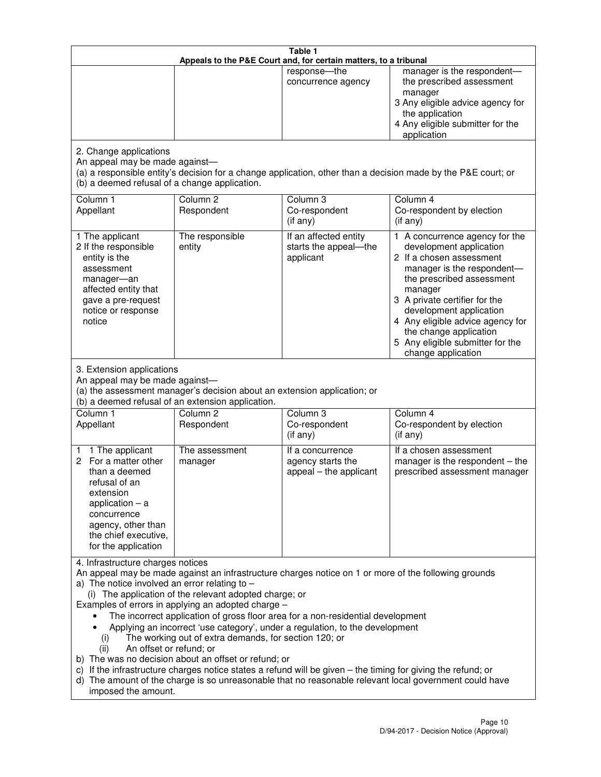| Table 1<br>Appeals to the P&E Court and, for certain matters, to a tribunal                                                                                                                          |                                                                                                                                                                                                                               |                                                                                                                                                                                                                                                                                 |                                                                                                                                                                                                                                                                                                                                                 |  |
|------------------------------------------------------------------------------------------------------------------------------------------------------------------------------------------------------|-------------------------------------------------------------------------------------------------------------------------------------------------------------------------------------------------------------------------------|---------------------------------------------------------------------------------------------------------------------------------------------------------------------------------------------------------------------------------------------------------------------------------|-------------------------------------------------------------------------------------------------------------------------------------------------------------------------------------------------------------------------------------------------------------------------------------------------------------------------------------------------|--|
|                                                                                                                                                                                                      |                                                                                                                                                                                                                               | response-the<br>concurrence agency                                                                                                                                                                                                                                              | manager is the respondent-<br>the prescribed assessment<br>manager<br>3 Any eligible advice agency for<br>the application<br>4 Any eligible submitter for the<br>application                                                                                                                                                                    |  |
| 2. Change applications<br>An appeal may be made against-<br>(b) a deemed refusal of a change application.                                                                                            |                                                                                                                                                                                                                               |                                                                                                                                                                                                                                                                                 | (a) a responsible entity's decision for a change application, other than a decision made by the P&E court; or                                                                                                                                                                                                                                   |  |
| Column 1<br>Appellant                                                                                                                                                                                | Column <sub>2</sub><br>Respondent                                                                                                                                                                                             | Column 3<br>Co-respondent<br>(if any)                                                                                                                                                                                                                                           | Column 4<br>Co-respondent by election<br>(if any)                                                                                                                                                                                                                                                                                               |  |
| 1 The applicant<br>2 If the responsible<br>entity is the<br>assessment<br>manager-an<br>affected entity that<br>gave a pre-request<br>notice or response<br>notice                                   | The responsible<br>entity                                                                                                                                                                                                     | If an affected entity<br>starts the appeal-the<br>applicant                                                                                                                                                                                                                     | 1 A concurrence agency for the<br>development application<br>2 If a chosen assessment<br>manager is the respondent-<br>the prescribed assessment<br>manager<br>3 A private certifier for the<br>development application<br>4 Any eligible advice agency for<br>the change application<br>5 Any eligible submitter for the<br>change application |  |
| 3. Extension applications<br>An appeal may be made against-<br>Column 1<br>Appellant                                                                                                                 | (a) the assessment manager's decision about an extension application; or<br>(b) a deemed refusal of an extension application.<br>Column <sub>2</sub><br>Respondent                                                            | Column 3<br>Co-respondent                                                                                                                                                                                                                                                       | Column 4<br>Co-respondent by election                                                                                                                                                                                                                                                                                                           |  |
| 1 The applicant<br>1<br>2 For a matter other<br>than a deemed<br>refusal of an<br>extension<br>application $-$ a<br>concurrence<br>agency, other than<br>the chief executive,<br>for the application | The assessment<br>manager                                                                                                                                                                                                     | (if any)<br>If a concurrence<br>agency starts the<br>appeal - the applicant                                                                                                                                                                                                     | (if any)<br>If a chosen assessment<br>manager is the respondent $-$ the<br>prescribed assessment manager                                                                                                                                                                                                                                        |  |
| 4. Infrastructure charges notices<br>a) The notice involved an error relating to $-$<br>(i)<br>An offset or refund; or<br>(ii)<br>imposed the amount.                                                | (i) The application of the relevant adopted charge; or<br>Examples of errors in applying an adopted charge -<br>The working out of extra demands, for section 120; or<br>b) The was no decision about an offset or refund; or | The incorrect application of gross floor area for a non-residential development<br>Applying an incorrect 'use category', under a regulation, to the development<br>c) If the infrastructure charges notice states a refund will be given - the timing for giving the refund; or | An appeal may be made against an infrastructure charges notice on 1 or more of the following grounds<br>d) The amount of the charge is so unreasonable that no reasonable relevant local government could have                                                                                                                                  |  |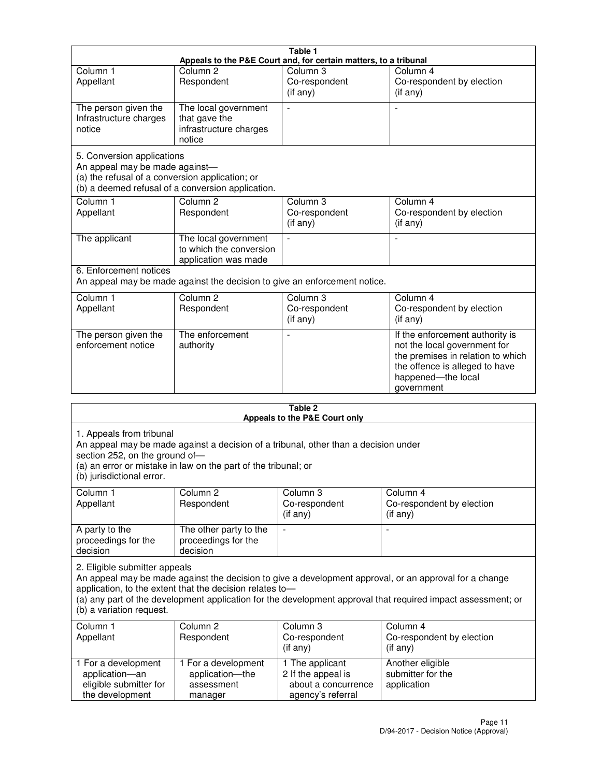|                                                                                                                 |                                                                           | Table 1                                                          |                                                                                                                                                                            |
|-----------------------------------------------------------------------------------------------------------------|---------------------------------------------------------------------------|------------------------------------------------------------------|----------------------------------------------------------------------------------------------------------------------------------------------------------------------------|
|                                                                                                                 |                                                                           | Appeals to the P&E Court and, for certain matters, to a tribunal |                                                                                                                                                                            |
| Column <sub>1</sub><br>Appellant                                                                                | Column <sub>2</sub><br>Respondent                                         | Column 3<br>Co-respondent<br>(if any)                            | Column 4<br>Co-respondent by election<br>(i f any)                                                                                                                         |
| The person given the<br>Infrastructure charges<br>notice                                                        | The local government<br>that gave the<br>infrastructure charges<br>notice | $\overline{a}$                                                   |                                                                                                                                                                            |
| 5. Conversion applications<br>An appeal may be made against-<br>(a) the refusal of a conversion application; or | (b) a deemed refusal of a conversion application.                         |                                                                  |                                                                                                                                                                            |
| Column <sub>1</sub><br>Appellant                                                                                | Column <sub>2</sub><br>Respondent                                         | Column <sub>3</sub><br>Co-respondent<br>$(i f \text{ any})$      | Column 4<br>Co-respondent by election<br>(if any)                                                                                                                          |
| The applicant                                                                                                   | The local government<br>to which the conversion<br>application was made   | $\blacksquare$                                                   |                                                                                                                                                                            |
| 6. Enforcement notices                                                                                          | An appeal may be made against the decision to give an enforcement notice. |                                                                  |                                                                                                                                                                            |
| Column <sub>1</sub><br>Appellant                                                                                | Column <sub>2</sub><br>Respondent                                         | Column 3<br>Co-respondent<br>(if any)                            | Column 4<br>Co-respondent by election<br>(if any)                                                                                                                          |
| The person given the<br>enforcement notice                                                                      | The enforcement<br>authority                                              |                                                                  | If the enforcement authority is<br>not the local government for<br>the premises in relation to which<br>the offence is alleged to have<br>happened-the local<br>government |
|                                                                                                                 |                                                                           |                                                                  |                                                                                                                                                                            |

|                                                                                         |                                                                                                                                                       | Table 2<br>Appeals to the P&E Court only                                          |                                                                                                                                                                                                                        |
|-----------------------------------------------------------------------------------------|-------------------------------------------------------------------------------------------------------------------------------------------------------|-----------------------------------------------------------------------------------|------------------------------------------------------------------------------------------------------------------------------------------------------------------------------------------------------------------------|
| 1. Appeals from tribunal<br>section 252, on the ground of-<br>(b) jurisdictional error. | An appeal may be made against a decision of a tribunal, other than a decision under<br>(a) an error or mistake in law on the part of the tribunal; or |                                                                                   |                                                                                                                                                                                                                        |
| Column <sub>1</sub><br>Appellant                                                        | Column <sub>2</sub><br>Respondent                                                                                                                     | Column 3<br>Co-respondent<br>(if any)                                             | Column <sub>4</sub><br>Co-respondent by election<br>$(if$ any)                                                                                                                                                         |
| A party to the<br>proceedings for the<br>decision                                       | The other party to the<br>proceedings for the<br>decision                                                                                             | ÷,                                                                                |                                                                                                                                                                                                                        |
| 2. Eligible submitter appeals<br>(b) a variation request.                               | application, to the extent that the decision relates to-                                                                                              |                                                                                   | An appeal may be made against the decision to give a development approval, or an approval for a change<br>(a) any part of the development application for the development approval that required impact assessment; or |
| Column 1<br>Appellant                                                                   | Column <sub>2</sub><br>Respondent                                                                                                                     | Column 3<br>Co-respondent<br>(if any)                                             | Column 4<br>Co-respondent by election<br>$(if$ any)                                                                                                                                                                    |
| 1 For a development<br>application-an<br>eligible submitter for<br>the development      | 1 For a development<br>application-the<br>assessment<br>manager                                                                                       | 1 The applicant<br>2 If the appeal is<br>about a concurrence<br>agency's referral | Another eligible<br>submitter for the<br>application                                                                                                                                                                   |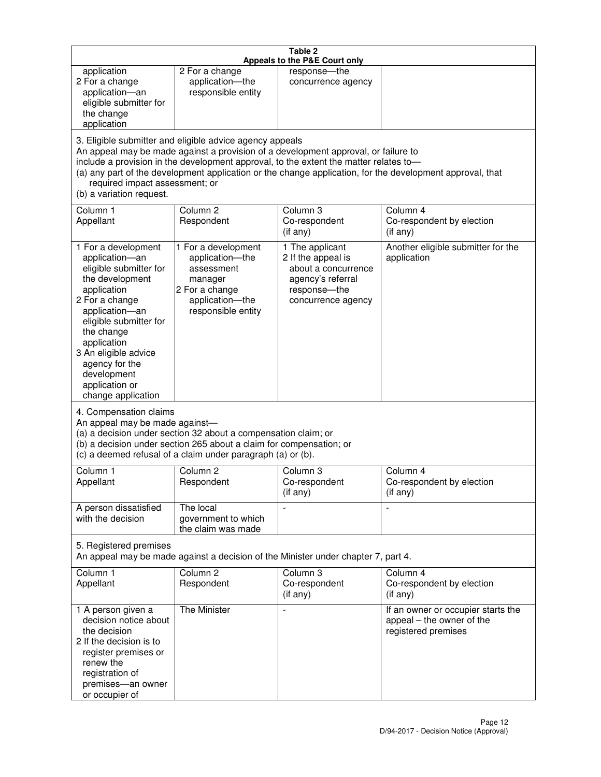|                                                                                                                                                                                                                                                                                               |                                                                                                                                                                                                                                         | Table 2<br>Appeals to the P&E Court only                                                                                |                                                                                                           |
|-----------------------------------------------------------------------------------------------------------------------------------------------------------------------------------------------------------------------------------------------------------------------------------------------|-----------------------------------------------------------------------------------------------------------------------------------------------------------------------------------------------------------------------------------------|-------------------------------------------------------------------------------------------------------------------------|-----------------------------------------------------------------------------------------------------------|
| application<br>2 For a change<br>application-an<br>eligible submitter for<br>the change<br>application                                                                                                                                                                                        | 2 For a change<br>application-the<br>responsible entity                                                                                                                                                                                 | response-the<br>concurrence agency                                                                                      |                                                                                                           |
| required impact assessment; or<br>(b) a variation request.                                                                                                                                                                                                                                    | 3. Eligible submitter and eligible advice agency appeals<br>An appeal may be made against a provision of a development approval, or failure to<br>include a provision in the development approval, to the extent the matter relates to- |                                                                                                                         | (a) any part of the development application or the change application, for the development approval, that |
| Column 1<br>Appellant                                                                                                                                                                                                                                                                         | Column <sub>2</sub><br>Respondent                                                                                                                                                                                                       | Column 3<br>Co-respondent<br>(if any)                                                                                   | Column 4<br>Co-respondent by election<br>(i f any)                                                        |
| 1 For a development<br>application-an<br>eligible submitter for<br>the development<br>application<br>2 For a change<br>application-an<br>eligible submitter for<br>the change<br>application<br>3 An eligible advice<br>agency for the<br>development<br>application or<br>change application | 1 For a development<br>application-the<br>assessment<br>manager<br>2 For a change<br>application-the<br>responsible entity                                                                                                              | 1 The applicant<br>2 If the appeal is<br>about a concurrence<br>agency's referral<br>response-the<br>concurrence agency | Another eligible submitter for the<br>application                                                         |
| 4. Compensation claims<br>An appeal may be made against-                                                                                                                                                                                                                                      | (a) a decision under section 32 about a compensation claim; or<br>(b) a decision under section 265 about a claim for compensation; or<br>(c) a deemed refusal of a claim under paragraph (a) or (b).                                    |                                                                                                                         |                                                                                                           |
| Column 1<br>Appellant                                                                                                                                                                                                                                                                         | Column 2<br>Respondent                                                                                                                                                                                                                  | Column 3<br>Co-respondent<br>(if any)                                                                                   | Column 4<br>Co-respondent by election<br>(i f any)                                                        |
| A person dissatisfied<br>with the decision                                                                                                                                                                                                                                                    | The local<br>government to which<br>the claim was made                                                                                                                                                                                  |                                                                                                                         | $\blacksquare$                                                                                            |
| 5. Registered premises                                                                                                                                                                                                                                                                        | An appeal may be made against a decision of the Minister under chapter 7, part 4.                                                                                                                                                       |                                                                                                                         |                                                                                                           |
| Column <sub>1</sub><br>Appellant                                                                                                                                                                                                                                                              | Column <sub>2</sub><br>Respondent                                                                                                                                                                                                       | Column <sub>3</sub><br>Co-respondent<br>(if any)                                                                        | Column 4<br>Co-respondent by election<br>(if any)                                                         |
| 1 A person given a<br>decision notice about<br>the decision<br>2 If the decision is to<br>register premises or<br>renew the<br>registration of<br>premises-an owner<br>or occupier of                                                                                                         | The Minister                                                                                                                                                                                                                            | $\overline{\phantom{a}}$                                                                                                | If an owner or occupier starts the<br>appeal – the owner of the<br>registered premises                    |